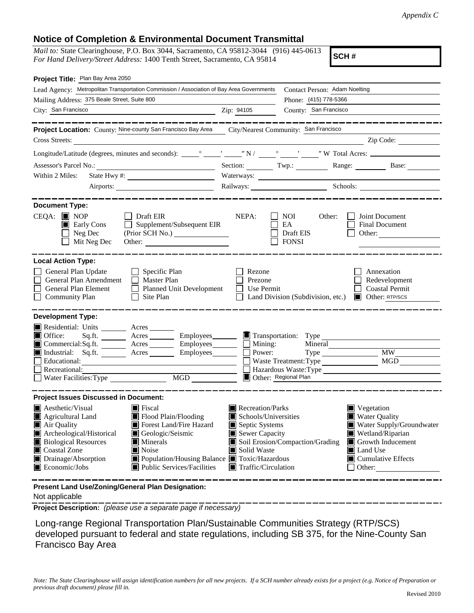## **Notice of Completion & Environmental Document Transmittal**

*Mail to:* State Clearinghouse, P.O. Box 3044, Sacramento, CA 95812-3044 (916) 445-0613 *For Hand Delivery/Street Address:* 1400 Tenth Street, Sacramento, CA 95814

**SCH #**

| Project Title: Plan Bay Area 2050                                                                                                                                                                                                                                                                                                                                                                     |                                           |                                                                                                                                                                                                                                                                                                                                                          |                                                                                                                                                                                                                                                                                                                     |  |  |  |
|-------------------------------------------------------------------------------------------------------------------------------------------------------------------------------------------------------------------------------------------------------------------------------------------------------------------------------------------------------------------------------------------------------|-------------------------------------------|----------------------------------------------------------------------------------------------------------------------------------------------------------------------------------------------------------------------------------------------------------------------------------------------------------------------------------------------------------|---------------------------------------------------------------------------------------------------------------------------------------------------------------------------------------------------------------------------------------------------------------------------------------------------------------------|--|--|--|
| Lead Agency: Metropolitan Transportation Commission / Association of Bay Area Governments                                                                                                                                                                                                                                                                                                             | Contact Person: Adam Noelting             |                                                                                                                                                                                                                                                                                                                                                          |                                                                                                                                                                                                                                                                                                                     |  |  |  |
| Mailing Address: 375 Beale Street, Suite 800                                                                                                                                                                                                                                                                                                                                                          |                                           | Phone: (415) 778-5366                                                                                                                                                                                                                                                                                                                                    |                                                                                                                                                                                                                                                                                                                     |  |  |  |
| City: San Francisco<br><u> 1989 - Johann Barn, mars ann an t-Amhain ann an t-Aonaichte ann an t-Aonaichte ann an t-Aonaichte ann an t-Aon</u>                                                                                                                                                                                                                                                         | Zip: 94105                                | County: San Francisco                                                                                                                                                                                                                                                                                                                                    |                                                                                                                                                                                                                                                                                                                     |  |  |  |
|                                                                                                                                                                                                                                                                                                                                                                                                       |                                           |                                                                                                                                                                                                                                                                                                                                                          |                                                                                                                                                                                                                                                                                                                     |  |  |  |
| Project Location: County: Nine-county San Francisco Bay Area City/Nearest Community: San Francisco                                                                                                                                                                                                                                                                                                    |                                           |                                                                                                                                                                                                                                                                                                                                                          |                                                                                                                                                                                                                                                                                                                     |  |  |  |
| Cross Streets:                                                                                                                                                                                                                                                                                                                                                                                        |                                           |                                                                                                                                                                                                                                                                                                                                                          | $\frac{1}{2}$ $\frac{1}{2}$ $\frac{1}{2}$ $\frac{1}{2}$ $\frac{1}{2}$ $\frac{1}{2}$ $\frac{1}{2}$ $\frac{1}{2}$ $\frac{1}{2}$ $\frac{1}{2}$ $\frac{1}{2}$ $\frac{1}{2}$ $\frac{1}{2}$ $\frac{1}{2}$ $\frac{1}{2}$ $\frac{1}{2}$ $\frac{1}{2}$ $\frac{1}{2}$ $\frac{1}{2}$ $\frac{1}{2}$ $\frac{1}{2}$ $\frac{1}{2}$ |  |  |  |
|                                                                                                                                                                                                                                                                                                                                                                                                       |                                           |                                                                                                                                                                                                                                                                                                                                                          |                                                                                                                                                                                                                                                                                                                     |  |  |  |
| Assessor's Parcel No.:<br><u> 1989 - Johann Barbara, martxa alemaniar a</u>                                                                                                                                                                                                                                                                                                                           | Section: $Twp:$                           |                                                                                                                                                                                                                                                                                                                                                          | Range: Base:                                                                                                                                                                                                                                                                                                        |  |  |  |
| Within 2 Miles:                                                                                                                                                                                                                                                                                                                                                                                       |                                           |                                                                                                                                                                                                                                                                                                                                                          |                                                                                                                                                                                                                                                                                                                     |  |  |  |
|                                                                                                                                                                                                                                                                                                                                                                                                       |                                           | Railways: Schools: Schools: Schools: 2001                                                                                                                                                                                                                                                                                                                |                                                                                                                                                                                                                                                                                                                     |  |  |  |
|                                                                                                                                                                                                                                                                                                                                                                                                       |                                           |                                                                                                                                                                                                                                                                                                                                                          |                                                                                                                                                                                                                                                                                                                     |  |  |  |
| <b>Document Type:</b><br>$CEQA:$ MOP<br>Draft EIR<br>Supplement/Subsequent EIR<br>$\blacksquare$ Early Cons<br>Neg Dec<br>(Prior SCH No.)<br>$\blacksquare$<br>Mit Neg Dec                                                                                                                                                                                                                            | NEPA:                                     | NOI<br>Other:<br>EA<br>Draft EIS<br><b>FONSI</b>                                                                                                                                                                                                                                                                                                         | Joint Document<br><b>Final Document</b><br>Other:                                                                                                                                                                                                                                                                   |  |  |  |
| <b>Local Action Type:</b><br>General Plan Update<br>$\Box$ Specific Plan<br>General Plan Amendment<br>Master Plan<br>General Plan Element<br>$\Box$ Planned Unit Development<br><b>Community Plan</b><br>Site Plan<br>$\perp$                                                                                                                                                                         | Rezone<br>Prezone<br>Use Permit           | Land Division (Subdivision, etc.)                                                                                                                                                                                                                                                                                                                        | Annexation<br>Redevelopment<br><b>Coastal Permit</b><br>Other: RTP/SCS                                                                                                                                                                                                                                              |  |  |  |
| <b>Development Type:</b>                                                                                                                                                                                                                                                                                                                                                                              |                                           |                                                                                                                                                                                                                                                                                                                                                          |                                                                                                                                                                                                                                                                                                                     |  |  |  |
| Residential: Units ________ Acres _______<br>$\blacksquare$ Office:<br>Acres __________ Employees________<br>Sq.fit.<br>■ Commercial:Sq.ft. _______ Acres _______ Employees_______ □<br>Industrial: Sq.ft.<br>Acres Employees 1<br>Educational:<br>Recreational:<br>MGD<br>Water Facilities: Type                                                                                                     | Mining:<br>Power:<br>Other: Regional Plan | Transportation: Type<br>Mineral<br>Waste Treatment: Type<br>Hazardous Waste: Type                                                                                                                                                                                                                                                                        | <b>MW</b><br><b>MGD</b>                                                                                                                                                                                                                                                                                             |  |  |  |
| <b>Project Issues Discussed in Document:</b>                                                                                                                                                                                                                                                                                                                                                          |                                           |                                                                                                                                                                                                                                                                                                                                                          |                                                                                                                                                                                                                                                                                                                     |  |  |  |
| <b>A</b> esthetic/Visual<br>$\blacksquare$ Fiscal<br>Agricultural Land<br>Flood Plain/Flooding<br>Forest Land/Fire Hazard<br>Air Quality<br>Archeological/Historical<br>Geologic/Seismic<br><b>Biological Resources</b><br>$\blacksquare$ Minerals<br>■ Coastal Zone<br>Noise<br>Drainage/Absorption<br>■ Population/Housing Balance ■ Toxic/Hazardous<br>Economic/Jobs<br>Public Services/Facilities | Solid Waste                               | Recreation/Parks<br>$\blacksquare$ Vegetation<br><b>Water Quality</b><br>Schools/Universities<br>Septic Systems<br>Water Supply/Groundwater<br>Sewer Capacity<br>Wetland/Riparian<br>Soil Erosion/Compaction/Grading<br>$\Box$ Growth Inducement<br>$\Box$ Land Use<br>$\blacksquare$ Cumulative Effects<br>$\blacksquare$ Traffic/Circulation<br>Other: |                                                                                                                                                                                                                                                                                                                     |  |  |  |
| Present Land Use/Zoning/General Plan Designation:                                                                                                                                                                                                                                                                                                                                                     |                                           |                                                                                                                                                                                                                                                                                                                                                          |                                                                                                                                                                                                                                                                                                                     |  |  |  |

Not applicable

**Project Description:** *(please use a separate page if necessary)*

 Long-range Regional Transportation Plan/Sustainable Communities Strategy (RTP/SCS) developed pursuant to federal and state regulations, including SB 375, for the Nine-County San Francisco Bay Area